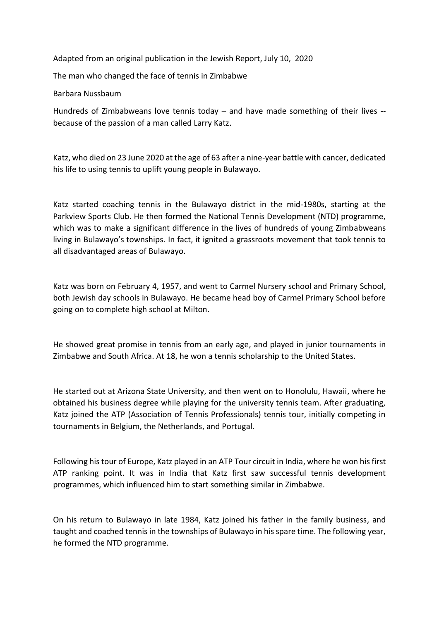Adapted from an original publication in the Jewish Report, July 10, 2020

The man who changed the face of tennis in Zimbabwe

Barbara Nussbaum

Hundreds of Zimbabweans love tennis today – and have made something of their lives - because of the passion of a man called Larry Katz.

Katz, who died on 23 June 2020 at the age of 63 after a nine-year battle with cancer, dedicated his life to using tennis to uplift young people in Bulawayo.

Katz started coaching tennis in the Bulawayo district in the mid-1980s, starting at the Parkview Sports Club. He then formed the National Tennis Development (NTD) programme, which was to make a significant difference in the lives of hundreds of young Zimbabweans living in Bulawayo's townships. In fact, it ignited a grassroots movement that took tennis to all disadvantaged areas of Bulawayo.

Katz was born on February 4, 1957, and went to Carmel Nursery school and Primary School, both Jewish day schools in Bulawayo. He became head boy of Carmel Primary School before going on to complete high school at Milton.

He showed great promise in tennis from an early age, and played in junior tournaments in Zimbabwe and South Africa. At 18, he won a tennis scholarship to the United States.

He started out at Arizona State University, and then went on to Honolulu, Hawaii, where he obtained his business degree while playing for the university tennis team. After graduating, Katz joined the ATP (Association of Tennis Professionals) tennis tour, initially competing in tournaments in Belgium, the Netherlands, and Portugal.

Following his tour of Europe, Katz played in an ATP Tour circuit in India, where he won his first ATP ranking point. It was in India that Katz first saw successful tennis development programmes, which influenced him to start something similar in Zimbabwe.

On his return to Bulawayo in late 1984, Katz joined his father in the family business, and taught and coached tennis in the townships of Bulawayo in his spare time. The following year, he formed the NTD programme.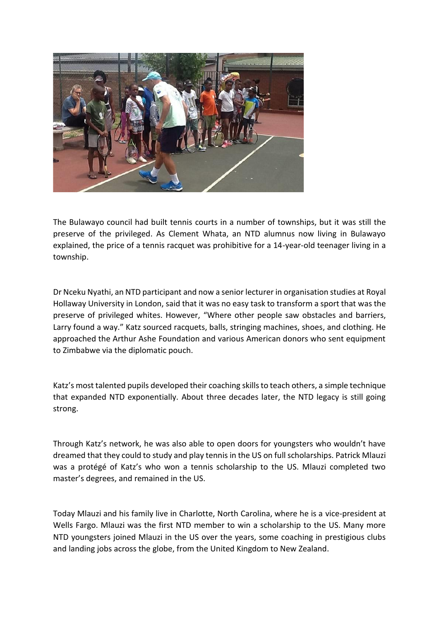

The Bulawayo council had built tennis courts in a number of townships, but it was still the preserve of the privileged. As Clement Whata, an NTD alumnus now living in Bulawayo explained, the price of a tennis racquet was prohibitive for a 14-year-old teenager living in a township.

Dr Nceku Nyathi, an NTD participant and now a senior lecturer in organisation studies at Royal Hollaway University in London, said that it was no easy task to transform a sport that was the preserve of privileged whites. However, "Where other people saw obstacles and barriers, Larry found a way." Katz sourced racquets, balls, stringing machines, shoes, and clothing. He approached the Arthur Ashe Foundation and various American donors who sent equipment to Zimbabwe via the diplomatic pouch.

Katz's most talented pupils developed their coaching skills to teach others, a simple technique that expanded NTD exponentially. About three decades later, the NTD legacy is still going strong.

Through Katz's network, he was also able to open doors for youngsters who wouldn't have dreamed that they could to study and play tennis in the US on full scholarships. Patrick Mlauzi was a protégé of Katz's who won a tennis scholarship to the US. Mlauzi completed two master's degrees, and remained in the US.

Today Mlauzi and his family live in Charlotte, North Carolina, where he is a vice-president at Wells Fargo. Mlauzi was the first NTD member to win a scholarship to the US. Many more NTD youngsters joined Mlauzi in the US over the years, some coaching in prestigious clubs and landing jobs across the globe, from the United Kingdom to New Zealand.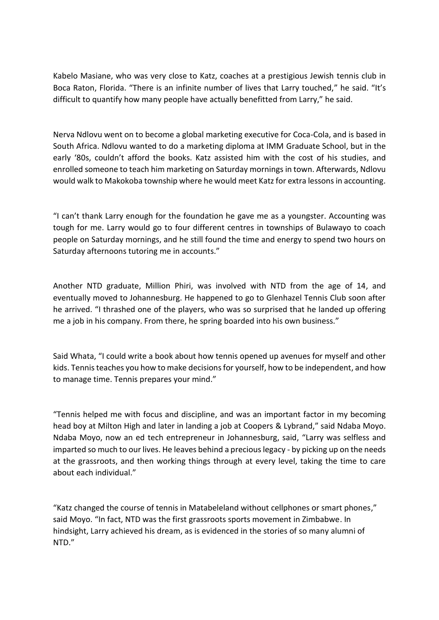Kabelo Masiane, who was very close to Katz, coaches at a prestigious Jewish tennis club in Boca Raton, Florida. "There is an infinite number of lives that Larry touched," he said. "It's difficult to quantify how many people have actually benefitted from Larry," he said.

Nerva Ndlovu went on to become a global marketing executive for Coca-Cola, and is based in South Africa. Ndlovu wanted to do a marketing diploma at IMM Graduate School, but in the early '80s, couldn't afford the books. Katz assisted him with the cost of his studies, and enrolled someone to teach him marketing on Saturday mornings in town. Afterwards, Ndlovu would walk to Makokoba township where he would meet Katz for extra lessons in accounting.

"I can't thank Larry enough for the foundation he gave me as a youngster. Accounting was tough for me. Larry would go to four different centres in townships of Bulawayo to coach people on Saturday mornings, and he still found the time and energy to spend two hours on Saturday afternoons tutoring me in accounts."

Another NTD graduate, Million Phiri, was involved with NTD from the age of 14, and eventually moved to Johannesburg. He happened to go to Glenhazel Tennis Club soon after he arrived. "I thrashed one of the players, who was so surprised that he landed up offering me a job in his company. From there, he spring boarded into his own business."

Said Whata, "I could write a book about how tennis opened up avenues for myself and other kids. Tennis teaches you how to make decisions for yourself, how to be independent, and how to manage time. Tennis prepares your mind."

"Tennis helped me with focus and discipline, and was an important factor in my becoming head boy at Milton High and later in landing a job at Coopers & Lybrand," said Ndaba Moyo. Ndaba Moyo, now an ed tech entrepreneur in Johannesburg, said, "Larry was selfless and imparted so much to our lives. He leaves behind a precious legacy - by picking up on the needs at the grassroots, and then working things through at every level, taking the time to care about each individual."

"Katz changed the course of tennis in Matabeleland without cellphones or smart phones," said Moyo. "In fact, NTD was the first grassroots sports movement in Zimbabwe. In hindsight, Larry achieved his dream, as is evidenced in the stories of so many alumni of NTD."